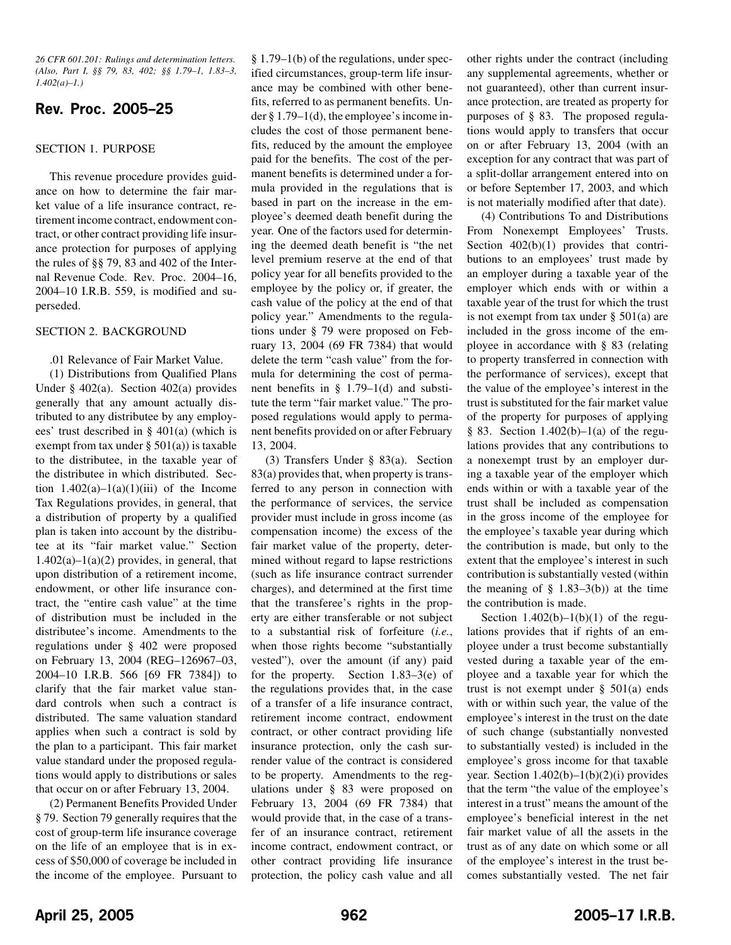*26 CFR 601.201: Rulings and determination letters. (Also, Part I, §§ 79, 83, 402; §§ 1.79–1, 1.83–3, 1.402(a)–1.)*

# **Rev. Proc. 2005–25**

#### SECTION 1. PURPOSE

This revenue procedure provides guidance on how to determine the fair market value of a life insurance contract, retirement income contract, endowment contract, or other contract providing life insurance protection for purposes of applying the rules of §§ 79, 83 and 402 of the Internal Revenue Code. Rev. Proc. 2004–16, 2004–10 I.R.B. 559, is modified and superseded.

#### SECTION 2. BACKGROUND

#### .01 Relevance of Fair Market Value.

(1) Distributions from Qualified Plans Under § 402(a). Section 402(a) provides generally that any amount actually distributed to any distributee by any employees' trust described in § 401(a) (which is exempt from tax under  $\S$  501(a)) is taxable to the distributee, in the taxable year of the distributee in which distributed. Section  $1.402(a)-1(a)(1)(iii)$  of the Income Tax Regulations provides, in general, that a distribution of property by a qualified plan is taken into account by the distributee at its "fair market value." Section  $1.402(a)-1(a)(2)$  provides, in general, that upon distribution of a retirement income, endowment, or other life insurance contract, the "entire cash value" at the time of distribution must be included in the distributee's income. Amendments to the regulations under § 402 were proposed on February 13, 2004 (REG–126967–03, 2004–10 I.R.B. 566 [69 FR 7384]) to clarify that the fair market value standard controls when such a contract is distributed. The same valuation standard applies when such a contract is sold by the plan to a participant. This fair market value standard under the proposed regulations would apply to distributions or sales that occur on or after February 13, 2004.

(2) Permanent Benefits Provided Under § 79. Section 79 generally requires that the cost of group-term life insurance coverage on the life of an employee that is in excess of \$50,000 of coverage be included in the income of the employee. Pursuant to

§ 1.79–1(b) of the regulations, under specified circumstances, group-term life insurance may be combined with other benefits, referred to as permanent benefits. Under § 1.79–1(d), the employee's income includes the cost of those permanent benefits, reduced by the amount the employee paid for the benefits. The cost of the permanent benefits is determined under a formula provided in the regulations that is based in part on the increase in the employee's deemed death benefit during the year. One of the factors used for determining the deemed death benefit is "the net level premium reserve at the end of that policy year for all benefits provided to the employee by the policy or, if greater, the cash value of the policy at the end of that policy year." Amendments to the regulations under § 79 were proposed on February 13, 2004 (69 FR 7384) that would delete the term "cash value" from the formula for determining the cost of permanent benefits in  $\S$  1.79–1(d) and substitute the term "fair market value." The proposed regulations would apply to permanent benefits provided on or after February 13, 2004.

(3) Transfers Under § 83(a). Section 83(a) provides that, when property is transferred to any person in connection with the performance of services, the service provider must include in gross income (as compensation income) the excess of the fair market value of the property, determined without regard to lapse restrictions (such as life insurance contract surrender charges), and determined at the first time that the transferee's rights in the property are either transferable or not subject to a substantial risk of forfeiture (*i.e.*, when those rights become "substantially vested"), over the amount (if any) paid for the property. Section 1.83–3(e) of the regulations provides that, in the case of a transfer of a life insurance contract, retirement income contract, endowment contract, or other contract providing life insurance protection, only the cash surrender value of the contract is considered to be property. Amendments to the regulations under § 83 were proposed on February 13, 2004 (69 FR 7384) that would provide that, in the case of a transfer of an insurance contract, retirement income contract, endowment contract, or other contract providing life insurance protection, the policy cash value and all other rights under the contract (including any supplemental agreements, whether or not guaranteed), other than current insurance protection, are treated as property for purposes of § 83. The proposed regulations would apply to transfers that occur on or after February 13, 2004 (with an exception for any contract that was part of a split-dollar arrangement entered into on or before September 17, 2003, and which is not materially modified after that date).

(4) Contributions To and Distributions From Nonexempt Employees' Trusts. Section  $402(b)(1)$  provides that contributions to an employees' trust made by an employer during a taxable year of the employer which ends with or within a taxable year of the trust for which the trust is not exempt from tax under  $\S$  501(a) are included in the gross income of the employee in accordance with § 83 (relating to property transferred in connection with the performance of services), except that the value of the employee's interest in the trust is substituted for the fair market value of the property for purposes of applying § 83. Section  $1.402(b)-1(a)$  of the regulations provides that any contributions to a nonexempt trust by an employer during a taxable year of the employer which ends within or with a taxable year of the trust shall be included as compensation in the gross income of the employee for the employee's taxable year during which the contribution is made, but only to the extent that the employee's interest in such contribution is substantially vested (within the meaning of  $\S$  1.83–3(b)) at the time the contribution is made.

Section  $1.402(b)-1(b)(1)$  of the regulations provides that if rights of an employee under a trust become substantially vested during a taxable year of the employee and a taxable year for which the trust is not exempt under  $\S$  501(a) ends with or within such year, the value of the employee's interest in the trust on the date of such change (substantially nonvested to substantially vested) is included in the employee's gross income for that taxable year. Section  $1.402(b)-1(b)(2)(i)$  provides that the term "the value of the employee's interest in a trust" means the amount of the employee's beneficial interest in the net fair market value of all the assets in the trust as of any date on which some or all of the employee's interest in the trust becomes substantially vested. The net fair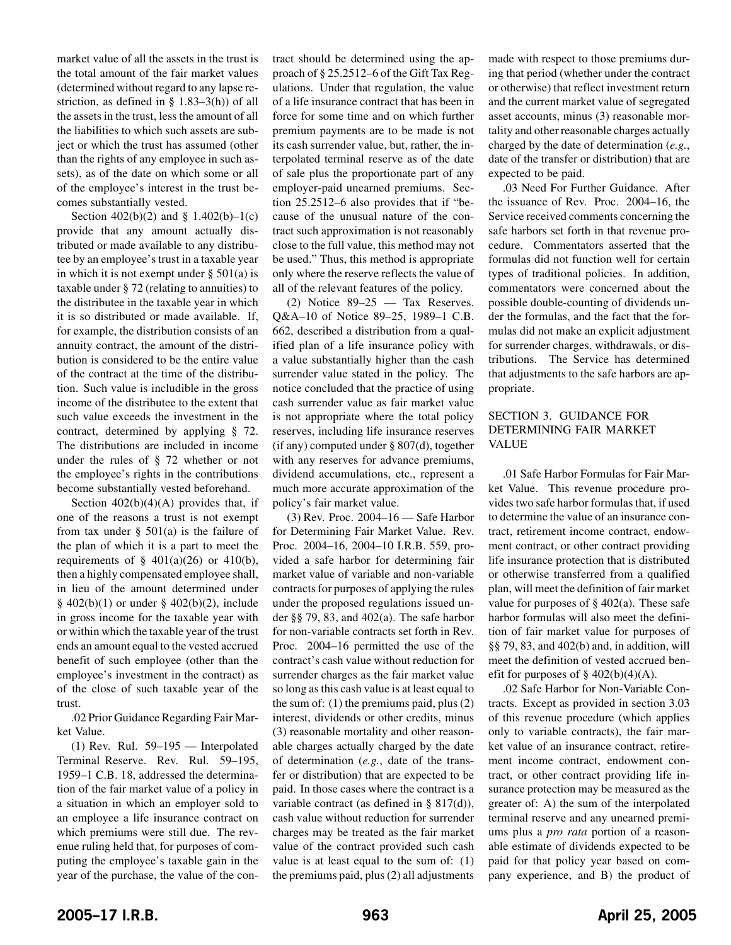market value of all the assets in the trust is the total amount of the fair market values (determined without regard to any lapse restriction, as defined in § 1.83–3(h)) of all the assets in the trust, less the amount of all the liabilities to which such assets are subject or which the trust has assumed (other than the rights of any employee in such assets), as of the date on which some or all of the employee's interest in the trust becomes substantially vested.

Section  $402(b)(2)$  and § 1.402(b)-1(c) provide that any amount actually distributed or made available to any distributee by an employee's trust in a taxable year in which it is not exempt under  $\S$  501(a) is taxable under § 72 (relating to annuities) to the distributee in the taxable year in which it is so distributed or made available. If, for example, the distribution consists of an annuity contract, the amount of the distribution is considered to be the entire value of the contract at the time of the distribution. Such value is includible in the gross income of the distributee to the extent that such value exceeds the investment in the contract, determined by applying § 72. The distributions are included in income under the rules of § 72 whether or not the employee's rights in the contributions become substantially vested beforehand.

Section  $402(b)(4)(A)$  provides that, if one of the reasons a trust is not exempt from tax under  $\S$  501(a) is the failure of the plan of which it is a part to meet the requirements of  $\S$  401(a)(26) or 410(b), then a highly compensated employee shall, in lieu of the amount determined under  $§$  402(b)(1) or under  $§$  402(b)(2), include in gross income for the taxable year with or within which the taxable year of the trust ends an amount equal to the vested accrued benefit of such employee (other than the employee's investment in the contract) as of the close of such taxable year of the trust.

.02 Prior Guidance Regarding Fair Market Value.

(1) Rev. Rul. 59–195 — Interpolated Terminal Reserve. Rev. Rul. 59–195, 1959–1 C.B. 18, addressed the determination of the fair market value of a policy in a situation in which an employer sold to an employee a life insurance contract on which premiums were still due. The revenue ruling held that, for purposes of computing the employee's taxable gain in the year of the purchase, the value of the contract should be determined using the approach of § 25.2512–6 of the Gift Tax Regulations. Under that regulation, the value of a life insurance contract that has been in force for some time and on which further premium payments are to be made is not its cash surrender value, but, rather, the interpolated terminal reserve as of the date of sale plus the proportionate part of any employer-paid unearned premiums. Section 25.2512–6 also provides that if "because of the unusual nature of the contract such approximation is not reasonably close to the full value, this method may not be used." Thus, this method is appropriate only where the reserve reflects the value of all of the relevant features of the policy.

(2) Notice 89–25 — Tax Reserves. Q&A–10 of Notice 89–25, 1989–1 C.B. 662, described a distribution from a qualified plan of a life insurance policy with a value substantially higher than the cash surrender value stated in the policy. The notice concluded that the practice of using cash surrender value as fair market value is not appropriate where the total policy reserves, including life insurance reserves (if any) computed under § 807(d), together with any reserves for advance premiums, dividend accumulations, etc., represent a much more accurate approximation of the policy's fair market value.

(3) Rev. Proc. 2004–16 — Safe Harbor for Determining Fair Market Value. Rev. Proc. 2004–16, 2004–10 I.R.B. 559, provided a safe harbor for determining fair market value of variable and non-variable contracts for purposes of applying the rules under the proposed regulations issued under §§ 79, 83, and 402(a). The safe harbor for non-variable contracts set forth in Rev. Proc. 2004–16 permitted the use of the contract's cash value without reduction for surrender charges as the fair market value so long as this cash value is at least equal to the sum of: (1) the premiums paid, plus (2) interest, dividends or other credits, minus (3) reasonable mortality and other reasonable charges actually charged by the date of determination (*e.g.*, date of the transfer or distribution) that are expected to be paid. In those cases where the contract is a variable contract (as defined in § 817(d)), cash value without reduction for surrender charges may be treated as the fair market value of the contract provided such cash value is at least equal to the sum of: (1) the premiums paid, plus (2) all adjustments made with respect to those premiums during that period (whether under the contract or otherwise) that reflect investment return and the current market value of segregated asset accounts, minus (3) reasonable mortality and other reasonable charges actually charged by the date of determination (*e.g.*, date of the transfer or distribution) that are expected to be paid.

.03 Need For Further Guidance. After the issuance of Rev. Proc. 2004–16, the Service received comments concerning the safe harbors set forth in that revenue procedure. Commentators asserted that the formulas did not function well for certain types of traditional policies. In addition, commentators were concerned about the possible double-counting of dividends under the formulas, and the fact that the formulas did not make an explicit adjustment for surrender charges, withdrawals, or distributions. The Service has determined that adjustments to the safe harbors are appropriate.

## SECTION 3. GUIDANCE FOR DETERMINING FAIR MARKET VALUE

.01 Safe Harbor Formulas for Fair Market Value. This revenue procedure provides two safe harbor formulas that, if used to determine the value of an insurance contract, retirement income contract, endowment contract, or other contract providing life insurance protection that is distributed or otherwise transferred from a qualified plan, will meet the definition of fair market value for purposes of  $\S 402(a)$ . These safe harbor formulas will also meet the definition of fair market value for purposes of §§ 79, 83, and 402(b) and, in addition, will meet the definition of vested accrued benefit for purposes of  $\S$  402(b)(4)(A).

.02 Safe Harbor for Non-Variable Contracts. Except as provided in section 3.03 of this revenue procedure (which applies only to variable contracts), the fair market value of an insurance contract, retirement income contract, endowment contract, or other contract providing life insurance protection may be measured as the greater of: A) the sum of the interpolated terminal reserve and any unearned premiums plus a *pro rata* portion of a reasonable estimate of dividends expected to be paid for that policy year based on company experience, and B) the product of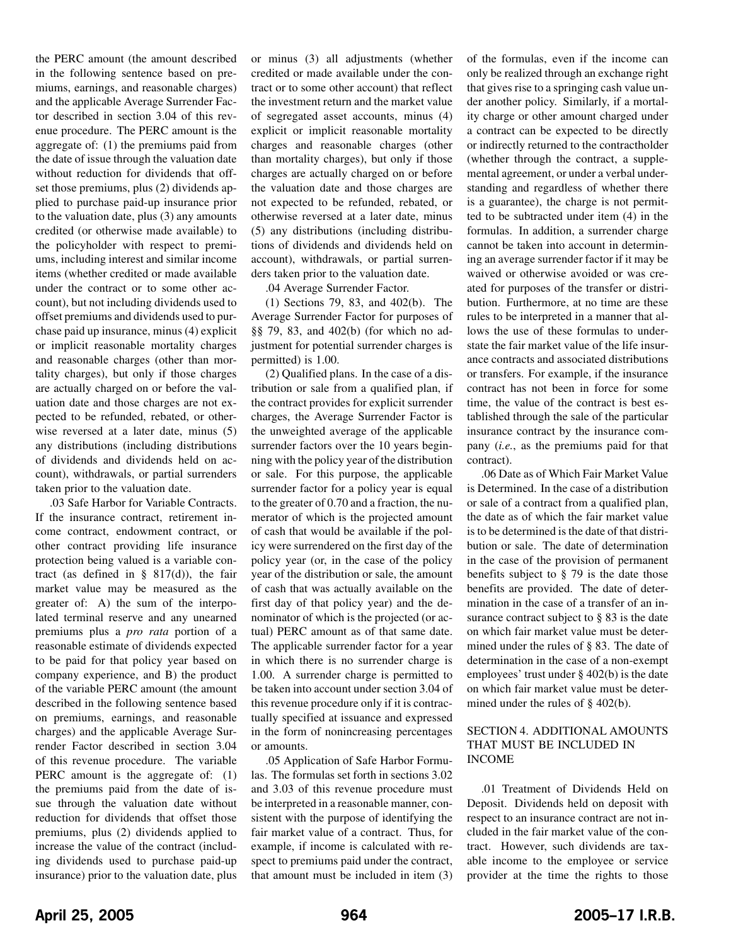the PERC amount (the amount described in the following sentence based on premiums, earnings, and reasonable charges) and the applicable Average Surrender Factor described in section 3.04 of this revenue procedure. The PERC amount is the aggregate of: (1) the premiums paid from the date of issue through the valuation date without reduction for dividends that offset those premiums, plus (2) dividends applied to purchase paid-up insurance prior to the valuation date, plus (3) any amounts credited (or otherwise made available) to the policyholder with respect to premiums, including interest and similar income items (whether credited or made available under the contract or to some other account), but not including dividends used to offset premiums and dividends used to purchase paid up insurance, minus (4) explicit or implicit reasonable mortality charges and reasonable charges (other than mortality charges), but only if those charges are actually charged on or before the valuation date and those charges are not expected to be refunded, rebated, or otherwise reversed at a later date, minus (5) any distributions (including distributions of dividends and dividends held on account), withdrawals, or partial surrenders taken prior to the valuation date.

.03 Safe Harbor for Variable Contracts. If the insurance contract, retirement income contract, endowment contract, or other contract providing life insurance protection being valued is a variable contract (as defined in  $\S$  817(d)), the fair market value may be measured as the greater of: A) the sum of the interpolated terminal reserve and any unearned premiums plus a *pro rata* portion of a reasonable estimate of dividends expected to be paid for that policy year based on company experience, and B) the product of the variable PERC amount (the amount described in the following sentence based on premiums, earnings, and reasonable charges) and the applicable Average Surrender Factor described in section 3.04 of this revenue procedure. The variable PERC amount is the aggregate of: (1) the premiums paid from the date of issue through the valuation date without reduction for dividends that offset those premiums, plus (2) dividends applied to increase the value of the contract (including dividends used to purchase paid-up insurance) prior to the valuation date, plus or minus (3) all adjustments (whether credited or made available under the contract or to some other account) that reflect the investment return and the market value of segregated asset accounts, minus (4) explicit or implicit reasonable mortality charges and reasonable charges (other than mortality charges), but only if those charges are actually charged on or before the valuation date and those charges are not expected to be refunded, rebated, or otherwise reversed at a later date, minus (5) any distributions (including distributions of dividends and dividends held on account), withdrawals, or partial surrenders taken prior to the valuation date.

.04 Average Surrender Factor.

(1) Sections 79, 83, and 402(b). The Average Surrender Factor for purposes of §§ 79, 83, and 402(b) (for which no adjustment for potential surrender charges is permitted) is 1.00.

(2) Qualified plans. In the case of a distribution or sale from a qualified plan, if the contract provides for explicit surrender charges, the Average Surrender Factor is the unweighted average of the applicable surrender factors over the 10 years beginning with the policy year of the distribution or sale. For this purpose, the applicable surrender factor for a policy year is equal to the greater of 0.70 and a fraction, the numerator of which is the projected amount of cash that would be available if the policy were surrendered on the first day of the policy year (or, in the case of the policy year of the distribution or sale, the amount of cash that was actually available on the first day of that policy year) and the denominator of which is the projected (or actual) PERC amount as of that same date. The applicable surrender factor for a year in which there is no surrender charge is 1.00. A surrender charge is permitted to be taken into account under section 3.04 of this revenue procedure only if it is contractually specified at issuance and expressed in the form of nonincreasing percentages or amounts.

.05 Application of Safe Harbor Formulas. The formulas set forth in sections 3.02 and 3.03 of this revenue procedure must be interpreted in a reasonable manner, consistent with the purpose of identifying the fair market value of a contract. Thus, for example, if income is calculated with respect to premiums paid under the contract, that amount must be included in item (3) of the formulas, even if the income can only be realized through an exchange right that gives rise to a springing cash value under another policy. Similarly, if a mortality charge or other amount charged under a contract can be expected to be directly or indirectly returned to the contractholder (whether through the contract, a supplemental agreement, or under a verbal understanding and regardless of whether there is a guarantee), the charge is not permitted to be subtracted under item (4) in the formulas. In addition, a surrender charge cannot be taken into account in determining an average surrender factor if it may be waived or otherwise avoided or was created for purposes of the transfer or distribution. Furthermore, at no time are these rules to be interpreted in a manner that allows the use of these formulas to understate the fair market value of the life insurance contracts and associated distributions or transfers. For example, if the insurance contract has not been in force for some time, the value of the contract is best established through the sale of the particular insurance contract by the insurance company (*i.e.*, as the premiums paid for that contract).

.06 Date as of Which Fair Market Value is Determined. In the case of a distribution or sale of a contract from a qualified plan, the date as of which the fair market value is to be determined is the date of that distribution or sale. The date of determination in the case of the provision of permanent benefits subject to § 79 is the date those benefits are provided. The date of determination in the case of a transfer of an insurance contract subject to § 83 is the date on which fair market value must be determined under the rules of § 83. The date of determination in the case of a non-exempt employees' trust under § 402(b) is the date on which fair market value must be determined under the rules of § 402(b).

### SECTION 4. ADDITIONAL AMOUNTS THAT MUST BE INCLUDED IN INCOME

.01 Treatment of Dividends Held on Deposit. Dividends held on deposit with respect to an insurance contract are not included in the fair market value of the contract. However, such dividends are taxable income to the employee or service provider at the time the rights to those